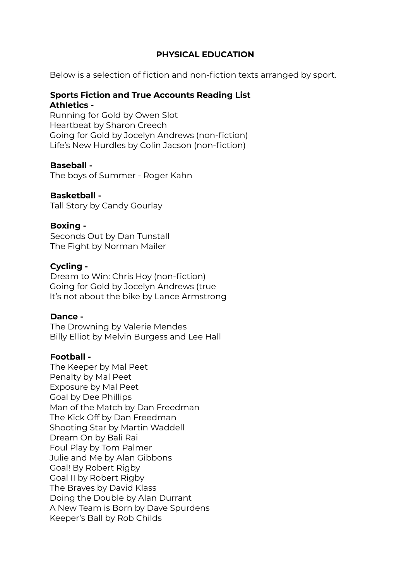# **PHYSICAL EDUCATION**

Below is a selection of fiction and non-fiction texts arranged by sport.

# **Sports Fiction and True Accounts Reading List Athletics -**

Running for Gold by Owen Slot Heartbeat by Sharon Creech Going for Gold by Jocelyn Andrews (non-fiction) Life's New Hurdles by Colin Jacson (non-fiction)

# **Baseball -**

The boys of Summer - Roger Kahn

# **Basketball -**

Tall Story by Candy Gourlay

# **Boxing -**

Seconds Out by Dan Tunstall The Fight by Norman Mailer

# **Cycling -**

Dream to Win: Chris Hoy (non-fiction) Going for Gold by Jocelyn Andrews (true It's not about the bike by Lance Armstrong

# **Dance -**

The Drowning by Valerie Mendes Billy Elliot by Melvin Burgess and Lee Hall

# **Football -**

The Keeper by Mal Peet Penalty by Mal Peet Exposure by Mal Peet Goal by Dee Phillips Man of the Match by Dan Freedman The Kick Off by Dan Freedman Shooting Star by Martin Waddell Dream On by Bali Rai Foul Play by Tom Palmer Julie and Me by Alan Gibbons Goal! By Robert Rigby Goal II by Robert Rigby The Braves by David Klass Doing the Double by Alan Durrant A New Team is Born by Dave Spurdens Keeper's Ball by Rob Childs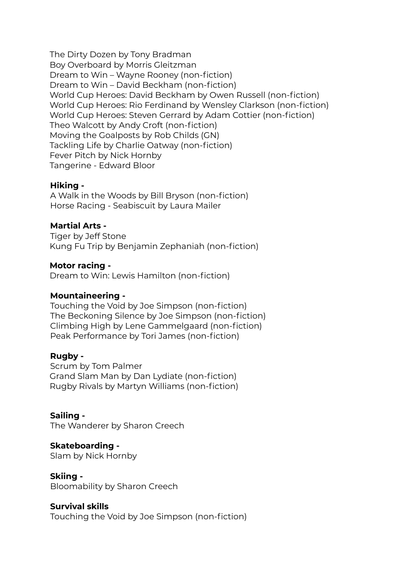The Dirty Dozen by Tony Bradman Boy Overboard by Morris Gleitzman Dream to Win – Wayne Rooney (non-fiction) Dream to Win – David Beckham (non-fiction) World Cup Heroes: David Beckham by Owen Russell (non-fiction) World Cup Heroes: Rio Ferdinand by Wensley Clarkson (non-fiction) World Cup Heroes: Steven Gerrard by Adam Cottier (non-fiction) Theo Walcott by Andy Croft (non-fiction) Moving the Goalposts by Rob Childs (GN) Tackling Life by Charlie Oatway (non-fiction) Fever Pitch by Nick Hornby Tangerine - Edward Bloor

#### **Hiking -**

A Walk in the Woods by Bill Bryson (non-fiction) Horse Racing - Seabiscuit by Laura Mailer

# **Martial Arts -**

Tiger by Jeff Stone Kung Fu Trip by Benjamin Zephaniah (non-fiction)

# **Motor racing -**

Dream to Win: Lewis Hamilton (non-fiction)

# **Mountaineering -**

Touching the Void by Joe Simpson (non-fiction) The Beckoning Silence by Joe Simpson (non-fiction) Climbing High by Lene Gammelgaard (non-fiction) Peak Performance by Tori James (non-fiction)

# **Rugby -**

Scrum by Tom Palmer Grand Slam Man by Dan Lydiate (non-fiction) Rugby Rivals by Martyn Williams (non-fiction)

**Sailing -** The Wanderer by Sharon Creech

#### **Skateboarding -** Slam by Nick Hornby

**Skiing -** Bloomability by Sharon Creech

# **Survival skills**

Touching the Void by Joe Simpson (non-fiction)